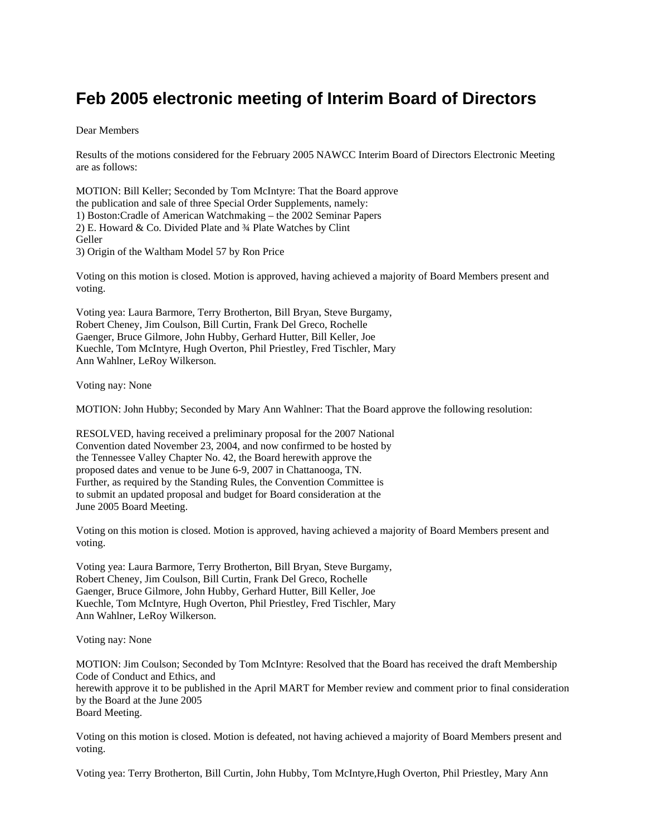## **Feb 2005 electronic meeting of Interim Board of Directors**

Dear Members

Results of the motions considered for the February 2005 NAWCC Interim Board of Directors Electronic Meeting are as follows:

MOTION: Bill Keller; Seconded by Tom McIntyre: That the Board approve the publication and sale of three Special Order Supplements, namely: 1) Boston:Cradle of American Watchmaking – the 2002 Seminar Papers 2) E. Howard & Co. Divided Plate and ¾ Plate Watches by Clint Geller 3) Origin of the Waltham Model 57 by Ron Price

Voting on this motion is closed. Motion is approved, having achieved a majority of Board Members present and voting.

Voting yea: Laura Barmore, Terry Brotherton, Bill Bryan, Steve Burgamy, Robert Cheney, Jim Coulson, Bill Curtin, Frank Del Greco, Rochelle Gaenger, Bruce Gilmore, John Hubby, Gerhard Hutter, Bill Keller, Joe Kuechle, Tom McIntyre, Hugh Overton, Phil Priestley, Fred Tischler, Mary Ann Wahlner, LeRoy Wilkerson.

Voting nay: None

MOTION: John Hubby; Seconded by Mary Ann Wahlner: That the Board approve the following resolution:

RESOLVED, having received a preliminary proposal for the 2007 National Convention dated November 23, 2004, and now confirmed to be hosted by the Tennessee Valley Chapter No. 42, the Board herewith approve the proposed dates and venue to be June 6-9, 2007 in Chattanooga, TN. Further, as required by the Standing Rules, the Convention Committee is to submit an updated proposal and budget for Board consideration at the June 2005 Board Meeting.

Voting on this motion is closed. Motion is approved, having achieved a majority of Board Members present and voting.

Voting yea: Laura Barmore, Terry Brotherton, Bill Bryan, Steve Burgamy, Robert Cheney, Jim Coulson, Bill Curtin, Frank Del Greco, Rochelle Gaenger, Bruce Gilmore, John Hubby, Gerhard Hutter, Bill Keller, Joe Kuechle, Tom McIntyre, Hugh Overton, Phil Priestley, Fred Tischler, Mary Ann Wahlner, LeRoy Wilkerson.

Voting nay: None

MOTION: Jim Coulson; Seconded by Tom McIntyre: Resolved that the Board has received the draft Membership Code of Conduct and Ethics, and herewith approve it to be published in the April MART for Member review and comment prior to final consideration by the Board at the June 2005 Board Meeting.

Voting on this motion is closed. Motion is defeated, not having achieved a majority of Board Members present and voting.

Voting yea: Terry Brotherton, Bill Curtin, John Hubby, Tom McIntyre,Hugh Overton, Phil Priestley, Mary Ann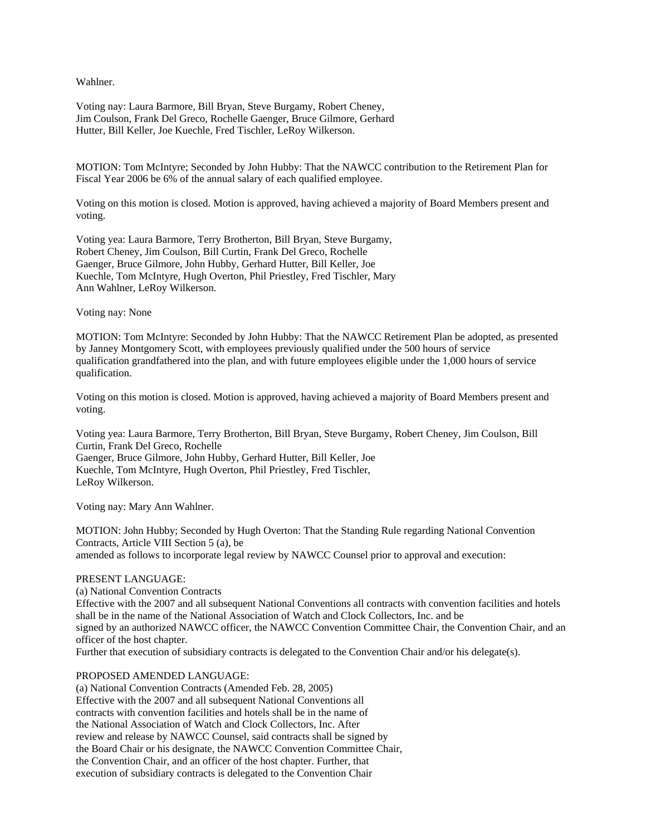Wahlner.

Voting nay: Laura Barmore, Bill Bryan, Steve Burgamy, Robert Cheney, Jim Coulson, Frank Del Greco, Rochelle Gaenger, Bruce Gilmore, Gerhard Hutter, Bill Keller, Joe Kuechle, Fred Tischler, LeRoy Wilkerson.

MOTION: Tom McIntyre; Seconded by John Hubby: That the NAWCC contribution to the Retirement Plan for Fiscal Year 2006 be 6% of the annual salary of each qualified employee.

Voting on this motion is closed. Motion is approved, having achieved a majority of Board Members present and voting.

Voting yea: Laura Barmore, Terry Brotherton, Bill Bryan, Steve Burgamy, Robert Cheney, Jim Coulson, Bill Curtin, Frank Del Greco, Rochelle Gaenger, Bruce Gilmore, John Hubby, Gerhard Hutter, Bill Keller, Joe Kuechle, Tom McIntyre, Hugh Overton, Phil Priestley, Fred Tischler, Mary Ann Wahlner, LeRoy Wilkerson.

## Voting nay: None

MOTION: Tom McIntyre: Seconded by John Hubby: That the NAWCC Retirement Plan be adopted, as presented by Janney Montgomery Scott, with employees previously qualified under the 500 hours of service qualification grandfathered into the plan, and with future employees eligible under the 1,000 hours of service qualification.

Voting on this motion is closed. Motion is approved, having achieved a majority of Board Members present and voting.

Voting yea: Laura Barmore, Terry Brotherton, Bill Bryan, Steve Burgamy, Robert Cheney, Jim Coulson, Bill Curtin, Frank Del Greco, Rochelle Gaenger, Bruce Gilmore, John Hubby, Gerhard Hutter, Bill Keller, Joe Kuechle, Tom McIntyre, Hugh Overton, Phil Priestley, Fred Tischler, LeRoy Wilkerson.

Voting nay: Mary Ann Wahlner.

MOTION: John Hubby; Seconded by Hugh Overton: That the Standing Rule regarding National Convention Contracts, Article VIII Section 5 (a), be amended as follows to incorporate legal review by NAWCC Counsel prior to approval and execution:

## PRESENT LANGUAGE:

(a) National Convention Contracts

Effective with the 2007 and all subsequent National Conventions all contracts with convention facilities and hotels shall be in the name of the National Association of Watch and Clock Collectors, Inc. and be signed by an authorized NAWCC officer, the NAWCC Convention Committee Chair, the Convention Chair, and an officer of the host chapter. Further that execution of subsidiary contracts is delegated to the Convention Chair and/or his delegate(s).

PROPOSED AMENDED LANGUAGE:

(a) National Convention Contracts (Amended Feb. 28, 2005) Effective with the 2007 and all subsequent National Conventions all contracts with convention facilities and hotels shall be in the name of the National Association of Watch and Clock Collectors, Inc. After review and release by NAWCC Counsel, said contracts shall be signed by the Board Chair or his designate, the NAWCC Convention Committee Chair, the Convention Chair, and an officer of the host chapter. Further, that execution of subsidiary contracts is delegated to the Convention Chair